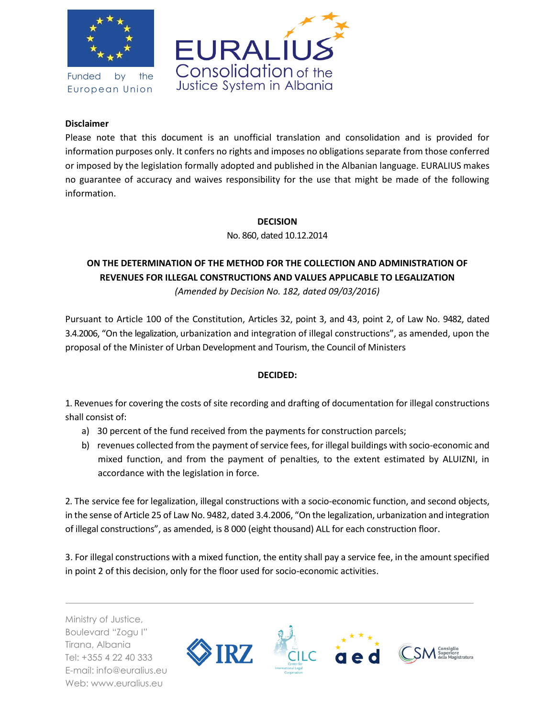

Funded by the European Union



## **Disclaimer**

Please note that this document is an unofficial translation and consolidation and is provided for information purposes only. It confers no rights and imposes no obligations separate from those conferred or imposed by the legislation formally adopted and published in the Albanian language. EURALIUS makes no guarantee of accuracy and waives responsibility for the use that might be made of the following information.

## **DECISION**

No. 860, dated 10.12.2014

## **ON THE DETERMINATION OF THE METHOD FOR THE COLLECTION AND ADMINISTRATION OF REVENUES FOR ILLEGAL CONSTRUCTIONS AND VALUES APPLICABLE TO LEGALIZATION**

*(Amended by Decision No. 182, dated 09/03/2016)*

Pursuant to Article 100 of the Constitution, Articles 32, point 3, and 43, point 2, of Law No. 9482, dated 3.4.2006, "On the legalization, urbanization and integration of illegal constructions", as amended, upon the proposal of the Minister of Urban Development and Tourism, the Council of Ministers

## **DECIDED:**

1. Revenues for covering the costs of site recording and drafting of documentation for illegal constructions shall consist of:

- a) 30 percent of the fund received from the payments for construction parcels;
- b) revenues collected from the payment of service fees, for illegal buildings with socio-economic and mixed function, and from the payment of penalties, to the extent estimated by ALUIZNI, in accordance with the legislation in force.

2. The service fee for legalization, illegal constructions with a socio-economic function, and second objects, in the sense of Article 25 of Law No. 9482, dated 3.4.2006, "On the legalization, urbanization and integration of illegal constructions", as amended, is 8 000 (eight thousand) ALL for each construction floor.

3. For illegal constructions with a mixed function, the entity shall pay a service fee, in the amount specified in point 2 of this decision, only for the floor used for socio-economic activities.

Ministry of Justice, Boulevard "Zogu I" Tirana, Albania Tel: +355 4 22 40 333 E-mail: info@euralius.eu Web: www.euralius.eu

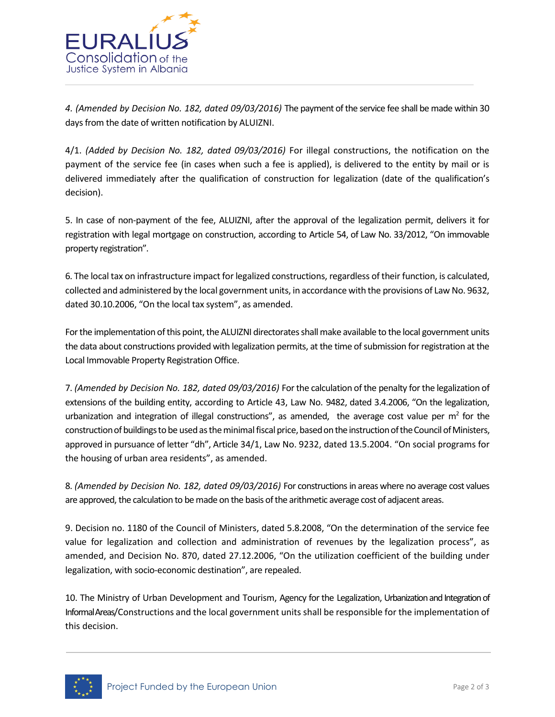

*4. (Amended by Decision No. 182, dated 09/03/2016)* The payment of the service fee shall be made within 30 days from the date of written notification by ALUIZNI.

4/1. *(Added by Decision No. 182, dated 09/03/2016)* For illegal constructions, the notification on the payment of the service fee (in cases when such a fee is applied), is delivered to the entity by mail or is delivered immediately after the qualification of construction for legalization (date of the qualification's decision).

5. In case of non-payment of the fee, ALUIZNI, after the approval of the legalization permit, delivers it for registration with legal mortgage on construction, according to Article 54, of Law No. 33/2012, "On immovable property registration".

6. The local tax on infrastructure impact for legalized constructions, regardless of their function, is calculated, collected and administered by the local government units, in accordance with the provisions of Law No. 9632, dated 30.10.2006, "On the local tax system", as amended.

For the implementation of this point, the ALUIZNI directorates shall make available to the local government units the data about constructions provided with legalization permits, at the time of submission for registration at the Local Immovable Property Registration Office.

7. *(Amended by Decision No. 182, dated 09/03/2016)* For the calculation of the penalty for the legalization of extensions of the building entity, according to Article 43, Law No. 9482, dated 3.4.2006, "On the legalization, urbanization and integration of illegal constructions", as amended, the average cost value per  $m^2$  for the construction of buildings to be used as the minimal fiscal price, based on the instruction of the Council of Ministers, approved in pursuance of letter "dh", Article 34/1, Law No. 9232, dated 13.5.2004. "On social programs for the housing of urban area residents", as amended.

8. *(Amended by Decision No. 182, dated 09/03/2016)* For constructions in areas where no average cost values are approved, the calculation to be made on the basis of the arithmetic average cost of adjacent areas.

9. Decision no. 1180 of the Council of Ministers, dated 5.8.2008, "On the determination of the service fee value for legalization and collection and administration of revenues by the legalization process", as amended, and Decision No. 870, dated 27.12.2006, "On the utilization coefficient of the building under legalization, with socio-economic destination", are repealed.

10. The Ministry of Urban Development and Tourism, Agency for the Legalization, Urbanization and Integration of Informal Areas/Constructions and the local government units shall be responsible for the implementation of this decision.